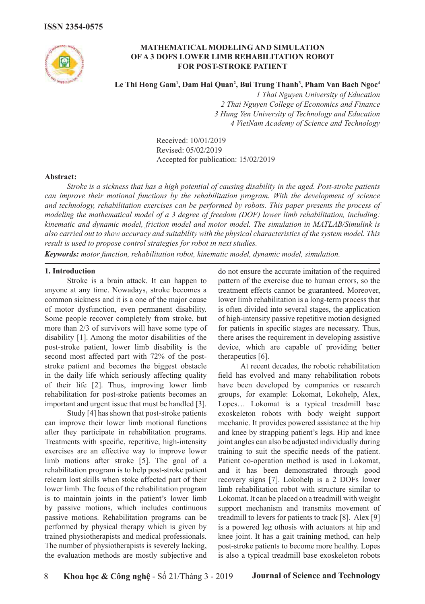

# **MATHEMATICAL MODELING AND SIMULATION OF A 3 DOFS LOWER LIMB REHABILITATION ROBOT FOR POST-STROKE PATIENT**

**Le Thi Hong Gam<sup>1</sup> , Dam Hai Quan<sup>2</sup> , Bui Trung Thanh3 , Pham Van Bach Ngoc<sup>4</sup>**

*1 Thai Nguyen University of Education 2 Thai Nguyen College of Economics and Finance 3 Hung Yen University of Technology and Education 4 VietNam Academy of Science and Technology*

Received: 10/01/2019 Revised: 05/02/2019 Accepted for publication: 15/02/2019

## **Abstract:**

*Stroke is a sickness that has a high potential of causing disability in the aged. Post-stroke patients can improve their motional functions by the rehabilitation program. With the development of science and technology, rehabilitation exercises can be performed by robots. This paper presents the process of modeling the mathematical model of a 3 degree of freedom (DOF) lower limb rehabilitation, including: kinematic and dynamic model, friction model and motor model. The simulation in MATLAB/Simulink is also carried out to show accuracy and suitability with the physical characteristics of the system model. This result is used to propose control strategies for robot in next studies.*

*Keywords: motor function, rehabilitation robot, kinematic model, dynamic model, simulation.*

## **1. Introduction**

Stroke is a brain attack. It can happen to anyone at any time. Nowadays, stroke becomes a common sickness and it is a one of the major cause of motor dysfunction, even permanent disability. Some people recover completely from stroke, but more than 2/3 of survivors will have some type of disability [1]. Among the motor disabilities of the post-stroke patient, lower limb disability is the second most affected part with 72% of the poststroke patient and becomes the biggest obstacle in the daily life which seriously affecting quality of their life [2]. Thus, improving lower limb rehabilitation for post-stroke patients becomes an important and urgent issue that must be handled [3].

Study [4] has shown that post-stroke patients can improve their lower limb motional functions after they participate in rehabilitation programs. Treatments with specific, repetitive, high-intensity exercises are an effective way to improve lower limb motions after stroke [5]. The goal of a rehabilitation program is to help post-stroke patient relearn lost skills when stoke affected part of their lower limb. The focus of the rehabilitation program is to maintain joints in the patient's lower limb by passive motions, which includes continuous passive motions. Rehabilitation programs can be performed by physical therapy which is given by trained physiotherapists and medical professionals. The number of physiotherapists is severely lacking, the evaluation methods are mostly subjective and do not ensure the accurate imitation of the required pattern of the exercise due to human errors, so the treatment effects cannot be guaranteed. Moreover, lower limb rehabilitation is a long-term process that is often divided into several stages, the application of high-intensity passive repetitive motion designed for patients in specific stages are necessary. Thus, there arises the requirement in developing assistive device, which are capable of providing better therapeutics [6].

At recent decades, the robotic rehabilitation field has evolved and many rehabilitation robots have been developed by companies or research groups, for example: Lokomat, Lokohelp, Alex, Lopes… Lokomat is a typical treadmill base exoskeleton robots with body weight support mechanic. It provides powered assistance at the hip and knee by strapping patient's legs. Hip and knee joint angles can also be adjusted individually during training to suit the specific needs of the patient. Patient co-operation method is used in Lokomat, and it has been demonstrated through good recovery signs [7]. Lokohelp is a 2 DOFs lower limb rehabilitation robot with structure similar to Lokomat. It can be placed on a treadmill with weight support mechanism and transmits movement of treadmill to levers for patients to track [8]. Alex [9] is a powered leg othosis with actuators at hip and knee joint. It has a gait training method, can help post-stroke patients to become more healthy. Lopes is also a typical treadmill base exoskeleton robots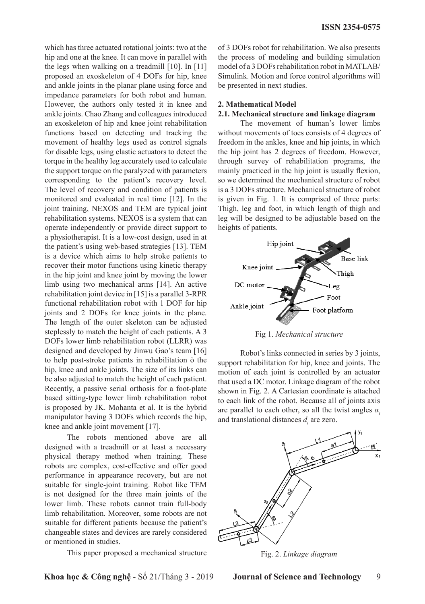which has three actuated rotational joints: two at the hip and one at the knee. It can move in parallel with the legs when walking on a treadmill [10]. In [11] proposed an exoskeleton of 4 DOFs for hip, knee and ankle joints in the planar plane using force and impedance parameters for both robot and human. However, the authors only tested it in knee and ankle joints. Chao Zhang and colleagues introduced an exoskeleton of hip and knee joint rehabilitation functions based on detecting and tracking the movement of healthy legs used as control signals for disable legs, using elastic actuators to detect the torque in the healthy leg accurately used to calculate the support torque on the paralyzed with parameters corresponding to the patient's recovery level. The level of recovery and condition of patients is monitored and evaluated in real time [12]. In the joint training, NEXOS and TEM are typical joint rehabilitation systems. NEXOS is a system that can operate independently or provide direct support to a physiotherapist. It is a low-cost design, used in at the patient's using web-based strategies [13]. TEM is a device which aims to help stroke patients to recover their motor functions using kinetic therapy in the hip joint and knee joint by moving the lower limb using two mechanical arms [14]. An active rehabilitation joint device in [15] is a parallel 3-RPR functional rehabilitation robot with 1 DOF for hip joints and 2 DOFs for knee joints in the plane. The length of the outer skeleton can be adjusted steplessly to match the height of each patients. A 3 DOFs lower limb rehabilitation robot (LLRR) was designed and developed by Jinwu Gao's team [16] to help post-stroke patients in rehabilitation ò the hip, knee and ankle joints. The size of its links can be also adjusted to match the height of each patient. Recently, a passive serial orthosis for a foot-plate based sitting-type lower limb rehabilitation robot is proposed by JK. Mohanta et al. It is the hybrid manipulator having 3 DOFs which records the hip, knee and ankle joint movement [17].

The robots mentioned above are all designed with a treadmill or at least a necessary physical therapy method when training. These robots are complex, cost-effective and offer good performance in appearance recovery, but are not suitable for single-joint training. Robot like TEM is not designed for the three main joints of the lower limb. These robots cannot train full-body limb rehabilitation. Moreover, some robots are not suitable for different patients because the patient's changeable states and devices are rarely considered or mentioned in studies.

This paper proposed a mechanical structure

of 3 DOFs robot for rehabilitation. We also presents the process of modeling and building simulation model of a 3 DOFs rehabilitation robot in MATLAB/ Simulink. Motion and force control algorithms will be presented in next studies.

### **2. Mathematical Model**

#### **2.1. Mechanical structure and linkage diagram**

The movement of human's lower limbs without movements of toes consists of 4 degrees of freedom in the ankles, knee and hip joints, in which the hip joint has 2 degrees of freedom. However, through survey of rehabilitation programs, the mainly practiced in the hip joint is usually flexion, so we determined the mechanical structure of robot is a 3 DOFs structure. Mechanical structure of robot is given in Fig. 1. It is comprised of three parts: Thigh, leg and foot, in which length of thigh and leg will be designed to be adjustable based on the heights of patients.



Fig 1. *Mechanical structure*

Robot's links connected in series by 3 joints, support rehabilitation for hip, knee and joints. The motion of each joint is controlled by an actuator that used a DC motor. Linkage diagram of the robot shown in Fig. 2. A Cartesian coordinate is attached to each link of the robot. Because all of joints axis are parallel to each other, so all the twist angles  $\alpha$ and translational distances  $d_i$  are zero.



Fig. 2. *Linkage diagram*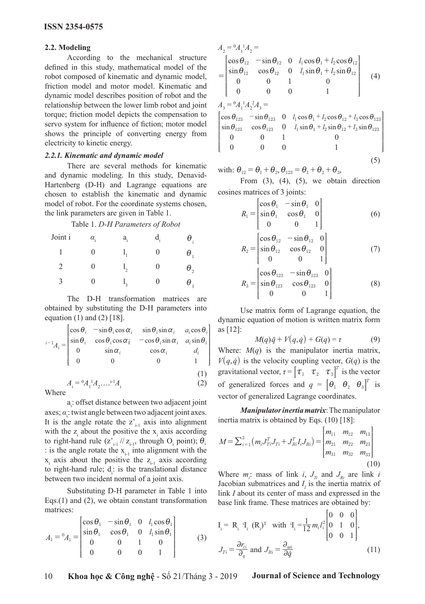## **2.2. Modeling**

According to the mechanical structure defined in this study, mathematical model of the robot composed of kinematic and dynamic model, friction model and motor model. Kinematic and dynamic model describes position of robot and the relationship between the lower limb robot and joint torque; friction model depicts the compensation to servo system for influence of fiction; motor model shows the principle of converting energy from electricity to kinetic energy.

## *2.2.1. Kinematic and dynamic model*

There are several methods for kinematic and dynamic modeling. In this study, Denavid-Hartenberg (D-H) and Lagrange equations are chosen to establish the kinematic and dynamic model of robot. For the coordinate systems chosen, the link parameters are given in Table 1.

Table 1. *D-H Parameters of Robot*

| Joint i | $\alpha_{i}$ | $a_{i}$ | $d_i$ | $\theta_i$            |
|---------|--------------|---------|-------|-----------------------|
|         | 0            |         |       | $\theta$ ,            |
| 2       | 0            |         |       | $\theta$ ,            |
| 3       |              | ∸       |       | $\theta$ <sub>3</sub> |

The D-H transformation matrices are obtained by substituting the D-H parameters into equation  $(1)$  and  $(2)$  [18].

$$
{}^{i-1}A_i = \begin{bmatrix} \cos\theta_i & -\sin\theta_i\cos\alpha_i & \sin\theta_i\sin\alpha_i & a_i\cos\theta_i \\ \sin\theta_i & \cos\theta_i\cos\alpha_i & -\cos\theta_i\sin\alpha_i & a_i\sin\theta_i \\ 0 & \sin\alpha_i & \cos\alpha_i & d_i \\ 0 & 0 & 0 & 1 \end{bmatrix}
$$
 (1)

$$
A_{i} = {}^{0}A_{1} {}^{1}A_{2} \dots {}^{i}A_{i}
$$
 (2)

Where

a<sub>i</sub>: offset distance between two adjacent joint axes; *α*<sub>i</sub>: twist angle between two adjacent joint axes. It is the angle rotate the  $z_{i-1}$  axis into alignment with the  $z_i$  about the positive the  $x_i$  axis according to right-hand rule  $(z_{i-1}^{\prime}/z_{i-1}^{\prime})$ , through O<sub>i</sub> point);  $\theta_i$ : is the angle rotate the  $x_{i-1}$  into alignment with the  $x_i$  axis about the positive the  $z_{i-1}$  axis according to right-hand rule;  $d_i$ : is the translational distance between two incident normal of a joint axis.

Substituting D-H parameter in Table 1 into Eqs.(1) and (2), we obtain constant transformation matrices:

$$
A_1 = {}^{0}A_1 = \begin{bmatrix} \cos \theta_1 & -\sin \theta_1 & 0 & l_1 \cos \theta_1 \\ \sin \theta_1 & \cos \theta_1 & 0 & l_1 \sin \theta_1 \\ 0 & 0 & 1 & 0 \\ 0 & 0 & 0 & 1 \end{bmatrix}
$$
 (3)

$$
A_{2} = {}^{0}A_{1} {}^{1}A_{2} =
$$
\n
$$
= \begin{bmatrix}\n\cos \theta_{12} & -\sin \theta_{12} & 0 & l_{1} \cos \theta_{1} + l_{2} \cos \theta_{12} \\
\sin \theta_{12} & \cos \theta_{12} & 0 & l_{1} \sin \theta_{1} + l_{2} \sin \theta_{12} \\
0 & 0 & 1 & 0 \\
0 & 0 & 0 & 1\n\end{bmatrix}
$$
\n
$$
A_{3} = {}^{0}A_{1} {}^{1}A_{2} {}^{2}A_{3} =
$$
\n
$$
\begin{bmatrix}\n\cos \theta_{123} & -\sin \theta_{123} & 0 & l_{1} \cos \theta_{1} + l_{2} \cos \theta_{12} + l_{3} \cos \theta_{123} \\
\sin \theta_{123} & \cos \theta_{123} & 0 & l_{1} \sin \theta_{1} + l_{2} \sin \theta_{12} + l_{3} \sin \theta_{123} \\
0 & 0 & 1 & 0\n\end{bmatrix}
$$
\n
$$
(5)
$$

with:  $\theta_{12} = \theta_1 + \theta_2, \theta_{123} = \theta_1 + \theta_2 + \theta_3$ 

From  $(3)$ ,  $(4)$ ,  $(5)$ , we obtain direction cosines matrices of 3 joints:

$$
R_1 = \begin{bmatrix} \cos \theta_1 & -\sin \theta_1 & 0 \\ \sin \theta_1 & \cos \theta_1 & 0 \\ 0 & 0 & 1 \end{bmatrix}
$$
 (6)

$$
R_2 = \begin{bmatrix} \cos \theta_{12} & -\sin \theta_{12} & 0\\ \sin \theta_{12} & \cos \theta_{12} & 0\\ 0 & 0 & 1 \end{bmatrix} \tag{7}
$$

$$
R_3 = \begin{bmatrix} \cos \theta_{123} & -\sin \theta_{123} & 0 \\ \sin \theta_{123} & \cos \theta_{123} & 0 \\ 0 & 0 & 1 \end{bmatrix}
$$
 (8)

Use matrix form of Lagrange equation, the dynamic equation of motion is written matrix form as [12]:

$$
M(q)\ddot{q} + V(q, \dot{q}) + G(q) = \tau \tag{9}
$$

Where: *M*(*q*) is the manipulator inertia matrix,  $V(q, \dot{q})$  is the velocity coupling vector,  $G(q)$  is the gravitational vector,  $\tau = \begin{bmatrix} \tau_1 & \tau_2 & \tau_3 \end{bmatrix}^T$  is the vector of generalized forces and  $q = \begin{bmatrix} \theta_1 & \theta_2 & \theta_3 \end{bmatrix}^T$  is vector of generalized Lagrange coordinates.

*Manipulator inertia matrix*: The manipulator inertia matrix is obtained by Eqs. (10) [18]:

$$
M = \sum_{i=1}^{3} (m_i J_{Ti}^T J_{Ti} + J_{Ri}^T I_i J_{Ri}) = \begin{bmatrix} m_{11} & m_{12} & m_{13} \\ m_{21} & m_{22} & m_{23} \\ m_{31} & m_{32} & m_{33} \end{bmatrix}
$$
  
(10)

Where  $m_i$ : mass of link *i*,  $J_{T_i}$  and  $J_{R_i}$  are link *i* Jacobian submatrices and  $I<sub>I</sub>$  is the inertia matrix of link *I* about its center of mass and expressed in the base link frame. These matrices are obtained by:

$$
I_{i} = R_{i} {}^{i}I_{i} (R_{i})^{T} \text{ with } iI_{i} = \frac{1}{12} m_{i} l_{i}^{2} \begin{bmatrix} 0 & 0 & 0 \\ 0 & 1 & 0 \\ 0 & 0 & 1 \end{bmatrix},
$$
  

$$
J_{Ti} = \frac{\partial r_{ci}}{\partial q} \text{ and } J_{Ri} = \frac{\partial_{\omega i}}{\partial \dot{q}}
$$
 (11)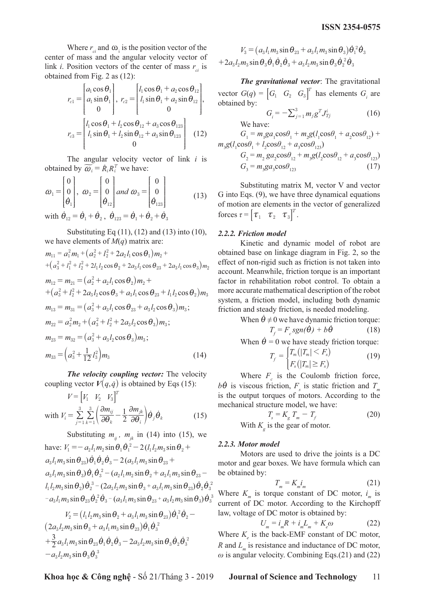Where  $r_{ci}$  and  $\omega_i$  is the position vector of the center of mass and the angular velocity vector of link *i*. Position vectors of the center of mass  $r_{ci}$  is obtained from Fig. 2 as (12):

$$
r_{c1} = \begin{bmatrix} a_1 \cos \theta_1 \\ a_1 \sin \theta_1 \\ 0 \end{bmatrix}, r_{c2} = \begin{bmatrix} l_1 \cos \theta_1 + a_2 \cos \theta_{12} \\ l_1 \sin \theta_1 + a_2 \sin \theta_{12} \\ 0 \end{bmatrix},
$$

$$
r_{c3} = \begin{bmatrix} l_1 \cos \theta_1 + l_2 \cos \theta_{12} + a_3 \cos \theta_{123} \\ l_1 \sin \theta_1 + l_2 \sin \theta_{12} + a_3 \sin \theta_{123} \\ 0 \end{bmatrix}
$$
(12)

The angular velocity vector of link *i* is obtained by  $\widetilde{\omega_i} = \dot{R}_i R_i^T$  we have:

$$
\omega_1 = \begin{bmatrix} 0 \\ 0 \\ \dot{\theta}_1 \end{bmatrix}, \quad \omega_2 = \begin{bmatrix} 0 \\ 0 \\ \dot{\theta}_{12} \end{bmatrix} \quad \text{and} \quad \omega_3 = \begin{bmatrix} 0 \\ 0 \\ \dot{\theta}_{123} \end{bmatrix} \tag{13}
$$

with  $\dot{\theta}_{12} = \dot{\theta}_1 + \dot{\theta}_2$ ,  $\dot{\theta}_{123} = \dot{\theta}_1 + \dot{\theta}_2 + \dot{\theta}_3$ 

Substituting Eq (11), (12) and (13) into (10), we have elements of *M*(*q*) matrix are:

$$
m_{11} = a_1^2 m_1 + (a_2^2 + l_2^2 + 2a_2 l_1 \cos \theta_1) m_2 +
$$
  
\n
$$
+ (a_3^2 + l_1^2 + l_2^2 + 2l_1 l_2 \cos \theta_2 + 2a_3 l_1 \cos \theta_3 + 2a_3 l_1 \cos \theta_3) m_2
$$
  
\n
$$
m_{12} = m_{21} = (a_2^2 + a_2 l_1 \cos \theta_2) m_2 +
$$
  
\n
$$
+ (a_3^2 + l_2^2 + 2a_3 l_2 \cos \theta_3 + a_3 l_1 \cos \theta_{23} + l_1 l_2 \cos \theta_2) m_3
$$
  
\n
$$
m_{13} = m_{31} = (a_3^2 + a_3 l_1 \cos \theta_{23} + a_3 l_2 \cos \theta_3) m_3;
$$
  
\n
$$
m_{22} = a_2^2 m_2 + (a_3^2 + l_2^2 + 2a_3 l_2 \cos \theta_3) m_3;
$$
  
\n
$$
m_{23} = m_{32} = (a_3^2 + a_3 l_2 \cos \theta_3) m_3;
$$
  
\n
$$
m_{33} = (a_3^2 + \frac{1}{12} l_3^2) m_3
$$
  
\n(14)

*The velocity coupling vector:* The velocity coupling vector  $V(q, \dot{q})$  is obtained by Eqs (15):

$$
V = \begin{bmatrix} V_1 & V_2 & V_3 \end{bmatrix}^T
$$
  
with  $V_i = \sum_{j=1}^3 \sum_{k=1}^3 \left( \frac{\partial m_{ij}}{\partial \theta_k} - \frac{1}{2} \frac{\partial m_{jk}}{\partial \theta_i} \right) \dot{\theta}_j \dot{\theta}_k$  (15)

Substituting 
$$
m_{ij}
$$
,  $m_{jk}$  in (14) into (15), we  
\nhave:  $V_1 = -a_2 l_1 m_2 \sin \theta_1 \dot{\theta}_1^2 - 2(l_1 l_2 m_3 \sin \theta_2 +$   
\n $a_3 l_1 m_3 \sin \theta_{23} \dot{\theta}_1 \dot{\theta}_2 \dot{\theta}_3 - 2(a_3 l_1 m_3 \sin \theta_{23} +$   
\n $a_3 l_1 m_3 \sin \theta_3 \dot{\theta}_1 \dot{\theta}_3^2 - (a_2 l_1 m_2 \sin \theta_2 + a_3 l_1 m_3 \sin \theta_{23} -$   
\n $l_1 l_2 m_3 \sin \theta_2 \dot{\theta}_2^3 - (2a_3 l_2 m_3 \sin \theta_3 + a_3 l_1 m_3 \sin \theta_{23} \dot{\theta}_2 \dot{\theta}_3^3 -$   
\n $- a_3 l_1 m_3 \sin \theta_{23} \dot{\theta}_2^2 \dot{\theta}_3 - (a_3 l_1 m_3 \sin \theta_{23} + a_3 l_2 m_3 \sin \theta_3 \dot{\theta}_3^3$   
\n $V_2 = (l_1 l_2 m_3 \sin \theta_2 + a_3 l_1 m_3 \sin \theta_{23}) \dot{\theta}_1^2 \dot{\theta}_2 -$   
\n $(2a_3 l_2 m_3 \sin \theta_3 + a_3 l_1 m_3 \sin \theta_{23}) \dot{\theta}_1 \dot{\theta}_3^2$   
\n $+ \frac{3}{2} a_3 l_1 m_3 \sin \theta_{23} \dot{\theta}_1 \dot{\theta}_2 \dot{\theta}_3 - 2a_3 l_2 m_3 \sin \theta_3 \dot{\theta}_2 \dot{\theta}_3^2$   
\n $- a_3 l_2 m_3 \sin \theta_3 \dot{\theta}_3^3$ 

 $V_3 = (a_3 l_1 m_3 \sin \theta_{23} + a_3 l_1 m_3 \sin \theta_3) \dot{\theta}_1^2 \dot{\theta}_3$  $+2a_3l_2m_3\sin\theta_3\dot{\theta}_1\dot{\theta}_2\dot{\theta}_3 + a_3l_2m_3\sin\theta_3\dot{\theta}_2^{\ 2}\dot{\theta}_3$ 

*The gravitational vector*: The gravitational vector  $G(q) = \begin{bmatrix} G_1 & G_2 & G_3 \end{bmatrix}^T$  has elements  $G_i$  are obtained by:

$$
G_i = -\sum_{j=1}^3 m_j g^T J_{Tj}^i \tag{16}
$$
  
We have:

 $G_1 = m_1 g a_1 \cos\theta_1 + m_2 g (l_1 \cos\theta_1 + a_2 \cos\theta_{12}) +$  $m_3 g(l_1 \cos\theta_1 + l_2 \cos\theta_{12} + a_3 \cos\theta_{123})$  $G_2 = m_2 g a_2 \cos \theta_{12} + m_3 g (l_2 \cos \theta_{12} + a_3 \cos \theta_{123})$  $G_3 = m_3 g a_3 \cos \theta_{123}$  (17)

Substituting matrix M, vector V and vector G into Eqs. (9), we have three dynamical equations of motion are elements in the vector of generalized forces  $\tau = \begin{bmatrix} \tau_1 & \tau_2 & \tau_3 \end{bmatrix}^T$ .

### *2.2.2. Friction model*

Kinetic and dynamic model of robot are obtained base on linkage diagram in Fig. 2, so the effect of non-rigid such as friction is not taken into account. Meanwhile, friction torque is an important factor in rehabilitation robot control. To obtain a more accurate mathematical description of the robot system, a friction model, including both dynamic friction and steady friction, is needed modeling.

When  $\dot{\theta} \neq 0$  we have dynamic friction torque:

$$
T_f = F_c sgn(\dot{\theta}) + b\dot{\theta}
$$
 (18)

When  $\dot{\theta} = 0$  we have steady friction torque:

$$
T_f = \begin{cases} T_m \left( |T_m| < F_s \right) \\ F_s \left( |T_m| \ge F_s \right) \end{cases} \tag{19}
$$

Where  $F_c$  is the Coulomb friction force,  $b\dot{\theta}$  is viscous friction,  $F_s$  is static friction and  $T_m$ is the output torques of motors. According to the mechanical structure model, we have:

$$
T_s = K_g T_m - T_f
$$
 (20)  
With  $K_a$  is the gear of motor.

### *2.2.3. Motor model*

Motors are used to drive the joints is a DC motor and gear boxes. We have formula which can be obtained by:

$$
T_m = K_{m\,m} \tag{21}
$$

Where  $K_m$  is torque constant of DC motor,  $i_m$  is current of DC motor. According to the Kirchopff law, voltage of DC motor is obtained by:

$$
U_m = i_m R + i_m L_m + K_e \omega \tag{22}
$$

Where  $K_e$  is the back-EMF constant of DC motor, *R* and  $L_m$  is resistance and inductance of DC motor,  $\omega$  is angular velocity. Combining Eqs.(21) and (22)

**Khoa học & Công nghệ** - Số 21/Tháng 3 - 2019 **Journal of Science and Technology** 11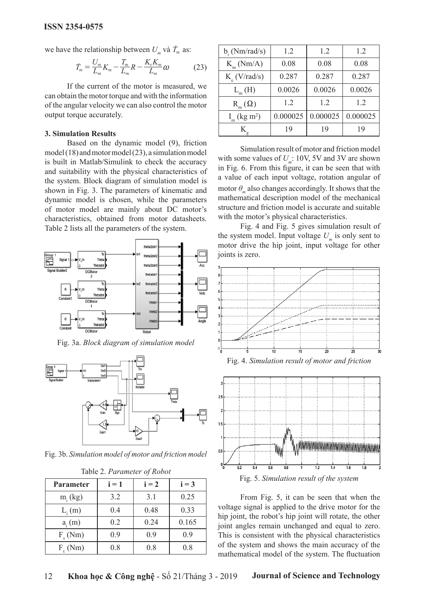we have the relationship between  $U_m$  và  $\dot{T}_m$  as:

$$
\dot{T}_m = \frac{U_m}{L_m} K_m - \frac{T_m}{L_m} R - \frac{K_e K_m}{L_m} \omega \tag{23}
$$

If the current of the motor is measured, we can obtain the motor torque and with the information of the angular velocity we can also control the motor output torque accurately.

#### **3. Simulation Results**

Based on the dynamic model (9), friction model (18) and motor model (23), a simulation model is built in Matlab/Simulink to check the accuracy and suitability with the physical characteristics of the system. Block diagram of simulation model is shown in Fig. 3. The parameters of kinematic and dynamic model is chosen, while the parameters of motor model are mainly about DC motor's characteristics, obtained from motor datasheets. Table 2 lists all the parameters of the system.



Fig. 3a. *Block diagram of simulation model*



Fig. 3b. *Simulation model of motor and friction model*

| $14016$ $\angle$ . I arameter of NODOI |         |         |         |  |  |
|----------------------------------------|---------|---------|---------|--|--|
| <b>Parameter</b>                       | $i = 1$ | $i = 2$ | $i = 3$ |  |  |
| $m_i$ (kg)                             | 3.2     | 3.1     | 0.25    |  |  |
| $Li$ (m)                               | 0.4     | 0.48    | 0.33    |  |  |
| $a_i(m)$                               | 0.2     | 0.24    | 0.165   |  |  |
| $F_s(Nm)$                              | 0.9     | 0.9     | 0.9     |  |  |
| $F_c(Nm)$                              | 0.8     | 0.8     | 0.8     |  |  |

|  | Table 2. Parameter of Robot |  |
|--|-----------------------------|--|
|--|-----------------------------|--|

| $b_i$ (Nm/rad/s)           | 1.2      | 1.2      | 1.2      |
|----------------------------|----------|----------|----------|
| $K_m(Nm/A)$                | 0.08     | 0.08     | 0.08     |
| $K_a$ (V/rad/s)            | 0.287    | 0.287    | 0.287    |
| $L_m(H)$                   | 0.0026   | 0.0026   | 0.0026   |
| $R_{m}(\Omega)$            | 1.2      | 1.2      | 1.2      |
| $I_m$ (kg m <sup>2</sup> ) | 0.000025 | 0.000025 | 0.000025 |
| K                          | 19       | 19       | 19       |

Simulation result of motor and friction model with some values of  $U$  : 10V, 5V and 3V are shown in Fig. 6. From this figure, it can be seen that with a value of each input voltage, rotation angular of motor  $\theta_{\mu}$  also changes accordingly. It shows that the mathematical description model of the mechanical structure and friction model is accurate and suitable with the motor's physical characteristics.

Fig. 4 and Fig. 5 gives simulation result of the system model. Input voltage  $U_m$  is only sent to motor drive the hip joint, input voltage for other joints is zero.



Fig. 4. *Simulation result of motor and friction*



Fig. 5. *Simulation result of the system*

From Fig. 5, it can be seen that when the voltage signal is applied to the drive motor for the hip joint, the robot's hip joint will rotate, the other joint angles remain unchanged and equal to zero. This is consistent with the physical characteristics of the system and shows the main accuracy of the mathematical model of the system. The fluctuation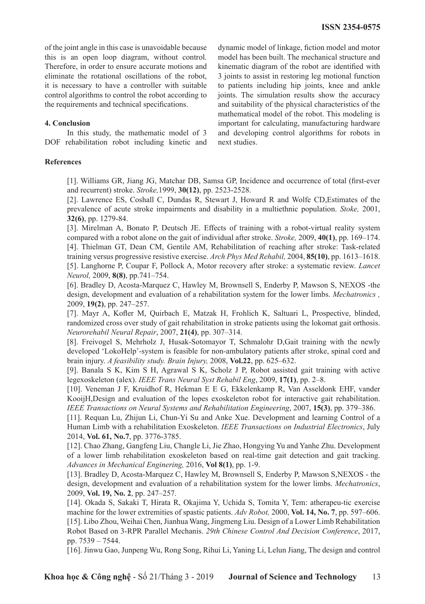of the joint angle in this case is unavoidable because this is an open loop diagram, without control. Therefore, in order to ensure accurate motions and eliminate the rotational oscillations of the robot, it is necessary to have a controller with suitable control algorithms to control the robot according to the requirements and technical specifications.

## **4. Conclusion**

In this study, the mathematic model of 3 DOF rehabilitation robot including kinetic and dynamic model of linkage, fiction model and motor model has been built. The mechanical structure and kinematic diagram of the robot are identified with 3 joints to assist in restoring leg motional function to patients including hip joints, knee and ankle joints. The simulation results show the accuracy and suitability of the physical characteristics of the mathematical model of the robot. This modeling is important for calculating, manufacturing hardware and developing control algorithms for robots in next studies.

### **References**

[1]. Williams GR, Jiang JG, Matchar DB, Samsa GP, Incidence and occurrence of total (first-ever and recurrent) stroke. *Stroke,*1999, **30(12)**, pp. 2523-2528.

[2]. Lawrence ES, Coshall C, Dundas R, Stewart J, Howard R and Wolfe CD,Estimates of the prevalence of acute stroke impairments and disability in a multiethnic population. *Stoke,* 2001, **32(6)**, pp. 1279-84.

[3]. Mirelman A, Bonato P, Deutsch JE. Effects of training with a robot-virtual reality system compared with a robot alone on the gait of individual after stroke. *Stroke,* 2009, **40(1)**, pp. 169–174. [4]. Thielman GT, Dean CM, Gentile AM, Rehabilitation of reaching after stroke: Task-related training versus progressive resistive exercise. *Arch Phys Med Rehabil,* 2004, **85(10)**, pp. 1613–1618. [5]. Langhorne P, Coupar F, Pollock A, Motor recovery after stroke: a systematic review. *Lancet Neurol,* 2009, **8(8)**, pp.741–754.

[6]. Bradley D, Acosta-Marquez C, Hawley M, Brownsell S, Enderby P, Mawson S, NEXOS -the design, development and evaluation of a rehabilitation system for the lower limbs. *Mechatronics ,*  2009, **19(2)**, pp. 247–257.

[7]. Mayr A, Kofler M, Quirbach E, Matzak H, Frohlich K, Saltuari L, Prospective, blinded, randomized cross over study of gait rehabilitation in stroke patients using the lokomat gait orthosis. *Neurorehabil Neural Repair*, 2007, **21(4)**, pp. 307–314.

[8]. Freivogel S, Mehrholz J, Husak-Sotomayor T, Schmalohr D,Gait training with the newly developed 'LokoHelp'-system is feasible for non-ambulatory patients after stroke, spinal cord and brain injury. *A feasibility study. Brain Injury,* 2008, **Vol.22**, pp. 625–632.

[9]. Banala S K, Kim S H, Agrawal S K, Scholz J P, Robot assisted gait training with active legexoskeleton (alex). *IEEE Trans Neural Syst Rehabil Eng*, 2009, **17(1)**, pp. 2–8.

[10]. Veneman J F, Kruidhof R, Hekman E E G, Ekkelenkamp R, Van Asseldonk EHF, vander KooijH,Design and evaluation of the lopes exoskeleton robot for interactive gait rehabilitation. *IEEE Transactions on Neural Systems and Rehabilitation Engineering*, 2007, **15(3)**, pp. 379–386.

[11]. Requan Lu, Zhijun Li, Chun-Yi Su and Anke Xue. Development and learning Control of a Human Limb with a rehabilitation Exoskeleton. *IEEE Transactions on Industrial Electronics*, July 2014, **Vol. 61, No.7**, pp. 3776-3785.

[12]. Chao Zhang, Gangfeng Liu, Changle Li, Jie Zhao, Hongying Yu and Yanhe Zhu. Development of a lower limb rehabilitation exoskeleton based on real-time gait detection and gait tracking. *Advances in Mechanical Enginering,* 2016, **Vol 8(1)**, pp. 1-9.

[13]. Bradley D, Acosta-Marquez C, Hawley M, Brownsell S, Enderby P, Mawson S,NEXOS - the design, development and evaluation of a rehabilitation system for the lower limbs. *Mechatronics*, 2009, **Vol. 19, No. 2**, pp. 247–257.

[14]. Okada S, Sakaki T, Hirata R, Okajima Y, Uchida S, Tomita Y, Tem: atherapeu-tic exercise machine for the lower extremities of spastic patients. *Adv Robot,* 2000, **Vol. 14, No. 7**, pp. 597–606. [15]. Libo Zhou, Weihai Chen, Jianhua Wang, Jingmeng Liu. Design of a Lower Limb Rehabilitation Robot Based on 3-RPR Parallel Mechanis. *29th Chinese Control And Decision Conference*, 2017, pp. 7539 – 7544.

[16]. Jinwu Gao, Junpeng Wu, Rong Song, Rihui Li, Yaning Li, Lelun Jiang, The design and control